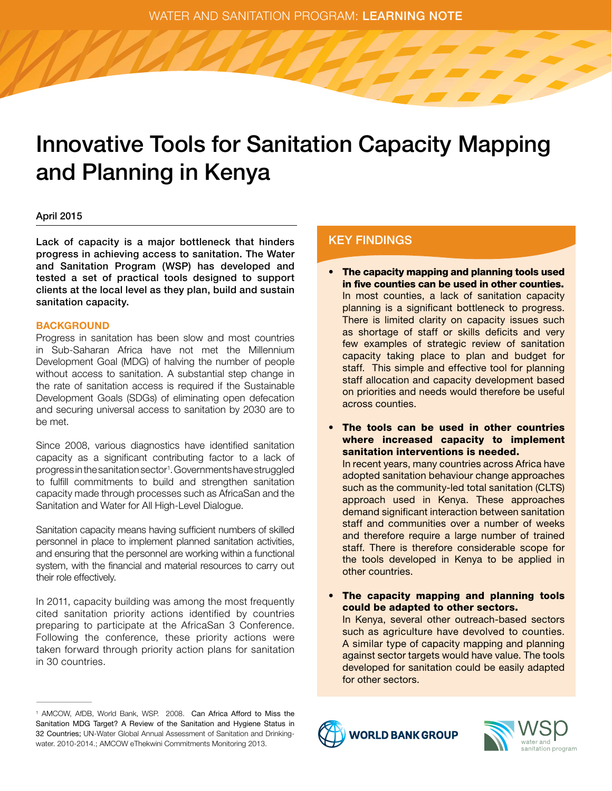WATER AND SANITATION PROGRAM: LEARNING NOTE

# Innovative Tools for Sanitation Capacity Mapping and Planning in Kenya

# April 2015

Lack of capacity is a major bottleneck that hinders progress in achieving access to sanitation. The Water and Sanitation Program (WSP) has developed and tested a set of practical tools designed to support clients at the local level as they plan, build and sustain sanitation capacity.

# **BACKGROUND**

Progress in sanitation has been slow and most countries in Sub-Saharan Africa have not met the Millennium Development Goal (MDG) of halving the number of people without access to sanitation. A substantial step change in the rate of sanitation access is required if the Sustainable Development Goals (SDGs) of eliminating open defecation and securing universal access to sanitation by 2030 are to be met.

Since 2008, various diagnostics have identified sanitation capacity as a significant contributing factor to a lack of progress in the sanitation sector<sup>1</sup>. Governments have struggled to fulfill commitments to build and strengthen sanitation capacity made through processes such as AfricaSan and the Sanitation and Water for All High-Level Dialogue.

Sanitation capacity means having sufficient numbers of skilled personnel in place to implement planned sanitation activities, and ensuring that the personnel are working within a functional system, with the financial and material resources to carry out their role effectively.

In 2011, capacity building was among the most frequently cited sanitation priority actions identified by countries preparing to participate at the AfricaSan 3 Conference. Following the conference, these priority actions were taken forward through priority action plans for sanitation in 30 countries.

# KEY FINDINGS

- The capacity mapping and planning tools used in five counties can be used in other counties. In most counties, a lack of sanitation capacity planning is a significant bottleneck to progress. There is limited clarity on capacity issues such as shortage of staff or skills deficits and very few examples of strategic review of sanitation capacity taking place to plan and budget for staff. This simple and effective tool for planning staff allocation and capacity development based on priorities and needs would therefore be useful across counties.
- The tools can be used in other countries where increased capacity to implement sanitation interventions is needed.

In recent years, many countries across Africa have adopted sanitation behaviour change approaches such as the community-led total sanitation (CLTS) approach used in Kenya. These approaches demand significant interaction between sanitation staff and communities over a number of weeks and therefore require a large number of trained staff. There is therefore considerable scope for the tools developed in Kenya to be applied in other countries.

The capacity mapping and planning tools could be adapted to other sectors. In Kenya, several other outreach-based sectors such as agriculture have devolved to counties. A similar type of capacity mapping and planning against sector targets would have value. The tools developed for sanitation could be easily adapted for other sectors.





<sup>1</sup> AMCOW, AfDB, World Bank, WSP. 2008. Can Africa Afford to Miss the Sanitation MDG Target? A Review of the Sanitation and Hygiene Status in 32 Countries; UN-Water Global Annual Assessment of Sanitation and Drinkingwater. 2010-2014.; AMCOW eThekwini Commitments Monitoring 2013.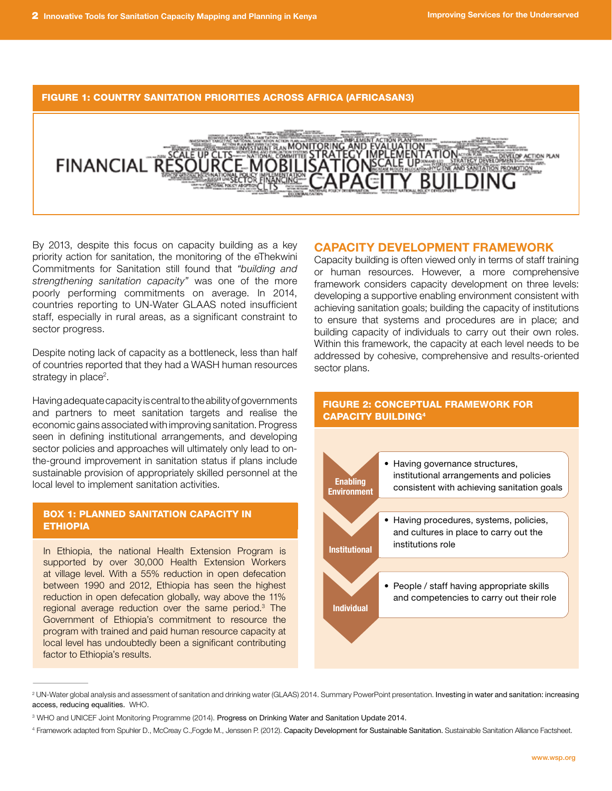## FIGURE 1: COUNTRY SANITATION PRIORITIES ACROSS AFRICA (AFRICASAN3)



By 2013, despite this focus on capacity building as a key priority action for sanitation, the monitoring of the eThekwini Commitments for Sanitation still found that *"building and strengthening sanitation capacity"* was one of the more poorly performing commitments on average. In 2014, countries reporting to UN-Water GLAAS noted insufficient staff, especially in rural areas, as a significant constraint to sector progress.

Despite noting lack of capacity as a bottleneck, less than half of countries reported that they had a WASH human resources strategy in place<sup>2</sup>.

Having adequate capacity is central to the ability of governments and partners to meet sanitation targets and realise the economic gains associated with improving sanitation. Progress seen in defining institutional arrangements, and developing sector policies and approaches will ultimately only lead to onthe-ground improvement in sanitation status if plans include sustainable provision of appropriately skilled personnel at the local level to implement sanitation activities.

# Box 1: Planned sanitation capacity in **ETHIOPIA**

In Ethiopia, the national Health Extension Program is supported by over 30,000 Health Extension Workers at village level. With a 55% reduction in open defecation between 1990 and 2012, Ethiopia has seen the highest reduction in open defecation globally, way above the 11% regional average reduction over the same period.3 The Government of Ethiopia's commitment to resource the program with trained and paid human resource capacity at local level has undoubtedly been a significant contributing factor to Ethiopia's results.

# Capacity Development Framework

Capacity building is often viewed only in terms of staff training or human resources. However, a more comprehensive framework considers capacity development on three levels: developing a supportive enabling environment consistent with achieving sanitation goals; building the capacity of institutions to ensure that systems and procedures are in place; and building capacity of individuals to carry out their own roles. Within this framework, the capacity at each level needs to be addressed by cohesive, comprehensive and results-oriented sector plans.

# Figure 2: Conceptual framework for capacity building<sup>4</sup>



<sup>2</sup> UN-Water global analysis and assessment of sanitation and drinking water (GLAAS) 2014. Summary PowerPoint presentation. Investing in water and sanitation: increasing access, reducing equalities. WHO.

<sup>3</sup> WHO and UNICEF Joint Monitoring Programme (2014). Progress on Drinking Water and Sanitation Update 2014.

<sup>&</sup>lt;sup>4</sup> Framework adapted from Spuhler D., McCreay C.,Fogde M., Jenssen P. (2012). Capacity Development for Sustainable Sanitation. Sustainable Sanitation Alliance Factsheet.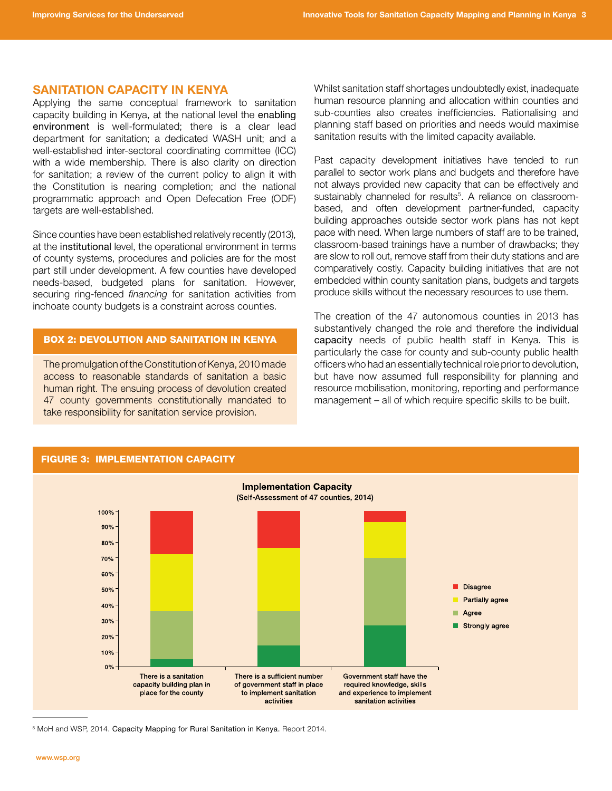## Sanitation Capacity in Kenya

Applying the same conceptual framework to sanitation capacity building in Kenya, at the national level the enabling environment is well-formulated; there is a clear lead department for sanitation; a dedicated WASH unit; and a well-established inter-sectoral coordinating committee (ICC) with a wide membership. There is also clarity on direction for sanitation; a review of the current policy to align it with the Constitution is nearing completion; and the national programmatic approach and Open Defecation Free (ODF) targets are well-established.

Since counties have been established relatively recently (2013), at the institutional level, the operational environment in terms of county systems, procedures and policies are for the most part still under development. A few counties have developed needs-based, budgeted plans for sanitation. However, securing ring-fenced *financing* for sanitation activities from inchoate county budgets is a constraint across counties.

# Box 2: Devolution and sanitation in Kenya

The promulgation of the Constitution of Kenya, 2010 made access to reasonable standards of sanitation a basic human right. The ensuing process of devolution created 47 county governments constitutionally mandated to take responsibility for sanitation service provision.

Whilst sanitation staff shortages undoubtedly exist, inadequate human resource planning and allocation within counties and sub-counties also creates inefficiencies. Rationalising and planning staff based on priorities and needs would maximise sanitation results with the limited capacity available.

Past capacity development initiatives have tended to run parallel to sector work plans and budgets and therefore have not always provided new capacity that can be effectively and sustainably channeled for results<sup>5</sup>. A reliance on classroombased, and often development partner-funded, capacity building approaches outside sector work plans has not kept pace with need. When large numbers of staff are to be trained, classroom-based trainings have a number of drawbacks; they are slow to roll out, remove staff from their duty stations and are comparatively costly. Capacity building initiatives that are not embedded within county sanitation plans, budgets and targets produce skills without the necessary resources to use them.

The creation of the 47 autonomous counties in 2013 has substantively changed the role and therefore the individual capacity needs of public health staff in Kenya. This is particularly the case for county and sub-county public health officers who had an essentially technical role prior to devolution, but have now assumed full responsibility for planning and resource mobilisation, monitoring, reporting and performance management – all of which require specific skills to be built.



<sup>5</sup> MoH and WSP, 2014. Capacity Mapping for Rural Sanitation in Kenya. Report 2014.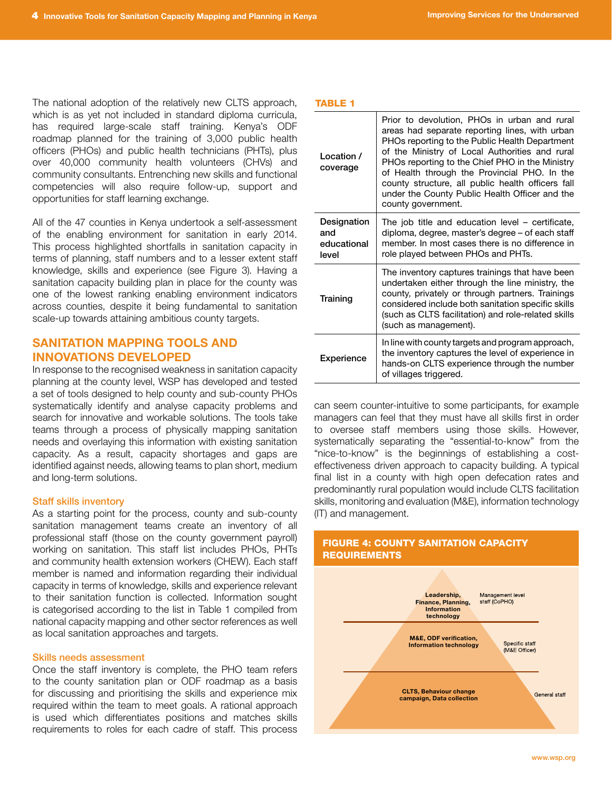The national adoption of the relatively new CLTS approach, which is as yet not included in standard diploma curricula, has required large-scale staff training. Kenya's ODF roadmap planned for the training of 3,000 public health officers (PHOs) and public health technicians (PHTs), plus over 40,000 community health volunteers (CHVs) and community consultants. Entrenching new skills and functional competencies will also require follow-up, support and opportunities for staff learning exchange.

All of the 47 counties in Kenya undertook a self-assessment of the enabling environment for sanitation in early 2014. This process highlighted shortfalls in sanitation capacity in terms of planning, staff numbers and to a lesser extent staff knowledge, skills and experience (see Figure 3). Having a sanitation capacity building plan in place for the county was one of the lowest ranking enabling environment indicators across counties, despite it being fundamental to sanitation scale-up towards attaining ambitious county targets.

# Sanitation Mapping Tools and Innovations Developed

In response to the recognised weakness in sanitation capacity planning at the county level, WSP has developed and tested a set of tools designed to help county and sub-county PHOs systematically identify and analyse capacity problems and search for innovative and workable solutions. The tools take teams through a process of physically mapping sanitation needs and overlaying this information with existing sanitation capacity. As a result, capacity shortages and gaps are identified against needs, allowing teams to plan short, medium and long-term solutions.

## Staff skills inventory

As a starting point for the process, county and sub-county sanitation management teams create an inventory of all professional staff (those on the county government payroll) working on sanitation. This staff list includes PHOs, PHTs and community health extension workers (CHEW). Each staff member is named and information regarding their individual capacity in terms of knowledge, skills and experience relevant to their sanitation function is collected. Information sought is categorised according to the list in Table 1 compiled from national capacity mapping and other sector references as well as local sanitation approaches and targets.

#### Skills needs assessment

Once the staff inventory is complete, the PHO team refers to the county sanitation plan or ODF roadmap as a basis for discussing and prioritising the skills and experience mix required within the team to meet goals. A rational approach is used which differentiates positions and matches skills requirements to roles for each cadre of staff. This process

## TABLE 1

| Location /<br>coverage                     | Prior to devolution, PHOs in urban and rural<br>areas had separate reporting lines, with urban<br>PHOs reporting to the Public Health Department<br>of the Ministry of Local Authorities and rural<br>PHOs reporting to the Chief PHO in the Ministry<br>of Health through the Provincial PHO. In the<br>county structure, all public health officers fall<br>under the County Public Health Officer and the<br>county government. |
|--------------------------------------------|------------------------------------------------------------------------------------------------------------------------------------------------------------------------------------------------------------------------------------------------------------------------------------------------------------------------------------------------------------------------------------------------------------------------------------|
| Designation<br>and<br>educational<br>level | The job title and education level - certificate,<br>diploma, degree, master's degree – of each staff<br>member. In most cases there is no difference in<br>role played between PHOs and PHTs.                                                                                                                                                                                                                                      |
| Training                                   | The inventory captures trainings that have been<br>undertaken either through the line ministry, the<br>county, privately or through partners. Trainings<br>considered include both sanitation specific skills<br>(such as CLTS facilitation) and role-related skills<br>(such as management).                                                                                                                                      |
| Experience                                 | In line with county targets and program approach,<br>the inventory captures the level of experience in<br>hands-on CLTS experience through the number<br>of villages triggered.                                                                                                                                                                                                                                                    |

can seem counter-intuitive to some participants, for example managers can feel that they must have all skills first in order to oversee staff members using those skills. However, systematically separating the "essential-to-know" from the "nice-to-know" is the beginnings of establishing a costeffectiveness driven approach to capacity building. A typical final list in a county with high open defecation rates and predominantly rural population would include CLTS facilitation skills, monitoring and evaluation (M&E), information technology (IT) and management.

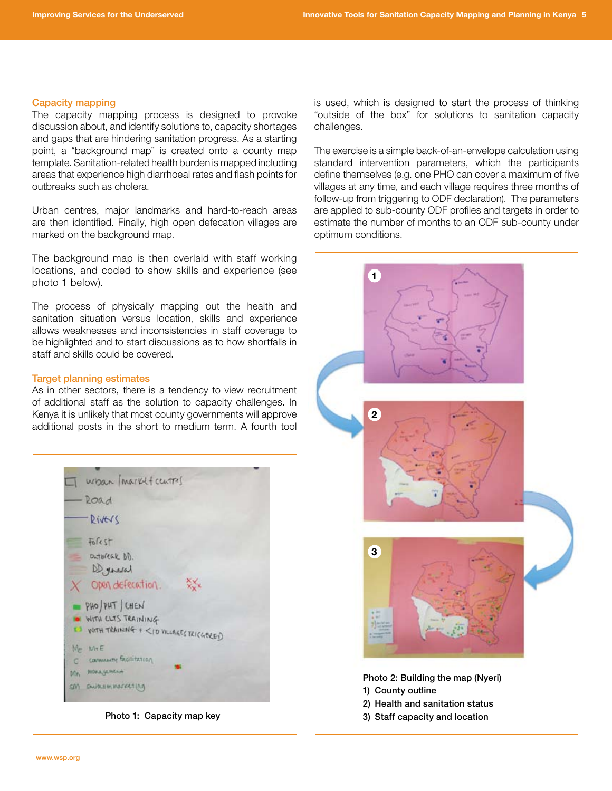#### Capacity mapping

The capacity mapping process is designed to provoke discussion about, and identify solutions to, capacity shortages and gaps that are hindering sanitation progress. As a starting point, a "background map" is created onto a county map template. Sanitation-related health burden is mapped including areas that experience high diarrhoeal rates and flash points for outbreaks such as cholera.

Urban centres, major landmarks and hard-to-reach areas are then identified. Finally, high open defecation villages are marked on the background map.

The background map is then overlaid with staff working locations, and coded to show skills and experience (see photo 1 below).

The process of physically mapping out the health and sanitation situation versus location, skills and experience allows weaknesses and inconsistencies in staff coverage to be highlighted and to start discussions as to how shortfalls in staff and skills could be covered.

## Target planning estimates

As in other sectors, there is a tendency to view recruitment of additional staff as the solution to capacity challenges. In Kenya it is unlikely that most county governments will approve additional posts in the short to medium term. A fourth tool



Photo 1: Capacity map key

is used, which is designed to start the process of thinking "outside of the box" for solutions to sanitation capacity challenges.

The exercise is a simple back-of-an-envelope calculation using standard intervention parameters, which the participants define themselves (e.g. one PHO can cover a maximum of five villages at any time, and each village requires three months of follow-up from triggering to ODF declaration). The parameters are applied to sub-county ODF profiles and targets in order to estimate the number of months to an ODF sub-county under optimum conditions.



Photo 2: Building the map (Nyeri) 1) County outline

- 2) Health and sanitation status
- 3) Staff capacity and location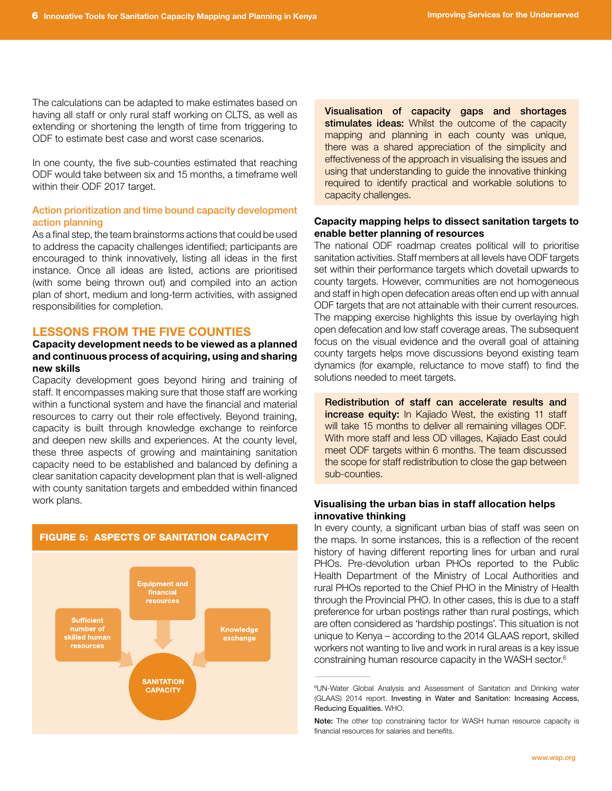The calculations can be adapted to make estimates based on having all staff or only rural staff working on CLTS, as well as extending or shortening the length of time from triggering to ODF to estimate best case and worst case scenarios.

In one county, the five sub-counties estimated that reaching ODF would take between six and 15 months, a timeframe well within their ODF 2017 target.

# Action prioritization and time bound capacity development action planning

As a final step, the team brainstorms actions that could be used to address the capacity challenges identified; participants are encouraged to think innovatively, listing all ideas in the first instance. Once all ideas are listed, actions are prioritised (with some being thrown out) and compiled into an action plan of short, medium and long-term activities, with assigned responsibilities for completion.

# Lessons from the Five Counties

# Capacity development needs to be viewed as a planned and continuous process of acquiring, using and sharing new skills

Capacity development goes beyond hiring and training of staff. It encompasses making sure that those staff are working within a functional system and have the financial and material resources to carry out their role effectively. Beyond training, capacity is built through knowledge exchange to reinforce and deepen new skills and experiences. At the county level, these three aspects of growing and maintaining sanitation capacity need to be established and balanced by defining a clear sanitation capacity development plan that is well-aligned with county sanitation targets and embedded within financed work plans.



Visualisation of capacity gaps and shortages stimulates ideas: Whilst the outcome of the capacity mapping and planning in each county was unique, there was a shared appreciation of the simplicity and effectiveness of the approach in visualising the issues and using that understanding to guide the innovative thinking required to identify practical and workable solutions to capacity challenges.

# Capacity mapping helps to dissect sanitation targets to enable better planning of resources

The national ODF roadmap creates political will to prioritise sanitation activities. Staff members at all levels have ODF targets set within their performance targets which dovetail upwards to county targets. However, communities are not homogeneous and staff in high open defecation areas often end up with annual ODF targets that are not attainable with their current resources. The mapping exercise highlights this issue by overlaying high open defecation and low staff coverage areas. The subsequent focus on the visual evidence and the overall goal of attaining county targets helps move discussions beyond existing team dynamics (for example, reluctance to move staff) to find the solutions needed to meet targets.

Redistribution of staff can accelerate results and increase equity: In Kajiado West, the existing 11 staff will take 15 months to deliver all remaining villages ODF. With more staff and less OD villages, Kajiado East could meet ODF targets within 6 months. The team discussed the scope for staff redistribution to close the gap between sub-counties.

## Visualising the urban bias in staff allocation helps innovative thinking

In every county, a significant urban bias of staff was seen on the maps. In some instances, this is a reflection of the recent history of having different reporting lines for urban and rural PHOs. Pre-devolution urban PHOs reported to the Public Health Department of the Ministry of Local Authorities and rural PHOs reported to the Chief PHO in the Ministry of Health through the Provincial PHO. In other cases, this is due to a staff preference for urban postings rather than rural postings, which are often considered as 'hardship postings'. This situation is not unique to Kenya – according to the 2014 GLAAS report, skilled workers not wanting to live and work in rural areas is a key issue constraining human resource capacity in the WASH sector.6

<sup>6</sup> UN-Water Global Analysis and Assessment of Sanitation and Drinking water (GLAAS) 2014 report. Investing in Water and Sanitation: Increasing Access, Reducing Equalities. WHO.

Note: The other top constraining factor for WASH human resource capacity is financial resources for salaries and benefits.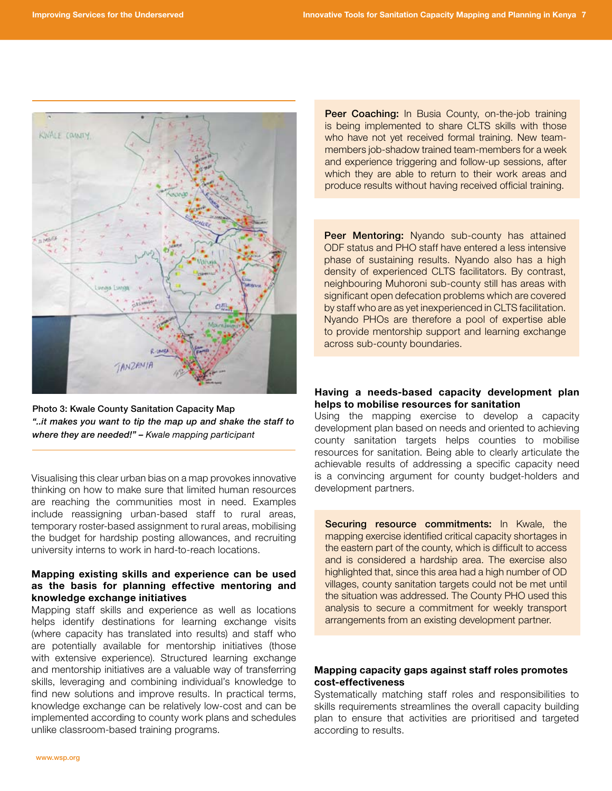

Photo 3: Kwale County Sanitation Capacity Map *"..it makes you want to tip the map up and shake the staff to where they are needed!" – Kwale mapping participant*

Visualising this clear urban bias on a map provokes innovative thinking on how to make sure that limited human resources are reaching the communities most in need. Examples include reassigning urban-based staff to rural areas, temporary roster-based assignment to rural areas, mobilising the budget for hardship posting allowances, and recruiting university interns to work in hard-to-reach locations.

# Mapping existing skills and experience can be used as the basis for planning effective mentoring and knowledge exchange initiatives

Mapping staff skills and experience as well as locations helps identify destinations for learning exchange visits (where capacity has translated into results) and staff who are potentially available for mentorship initiatives (those with extensive experience). Structured learning exchange and mentorship initiatives are a valuable way of transferring skills, leveraging and combining individual's knowledge to find new solutions and improve results. In practical terms, knowledge exchange can be relatively low-cost and can be implemented according to county work plans and schedules unlike classroom-based training programs.

Peer Coaching: In Busia County, on-the-job training is being implemented to share CLTS skills with those who have not yet received formal training. New teammembers job-shadow trained team-members for a week and experience triggering and follow-up sessions, after which they are able to return to their work areas and produce results without having received official training.

Peer Mentoring: Nyando sub-county has attained ODF status and PHO staff have entered a less intensive phase of sustaining results. Nyando also has a high density of experienced CLTS facilitators. By contrast, neighbouring Muhoroni sub-county still has areas with significant open defecation problems which are covered by staff who are as yet inexperienced in CLTS facilitation. Nyando PHOs are therefore a pool of expertise able to provide mentorship support and learning exchange across sub-county boundaries.

Having a needs-based capacity development plan helps to mobilise resources for sanitation

Using the mapping exercise to develop a capacity development plan based on needs and oriented to achieving county sanitation targets helps counties to mobilise resources for sanitation. Being able to clearly articulate the achievable results of addressing a specific capacity need is a convincing argument for county budget-holders and development partners.

Securing resource commitments: In Kwale, the mapping exercise identified critical capacity shortages in the eastern part of the county, which is difficult to access and is considered a hardship area. The exercise also highlighted that, since this area had a high number of OD villages, county sanitation targets could not be met until the situation was addressed. The County PHO used this analysis to secure a commitment for weekly transport arrangements from an existing development partner.

# Mapping capacity gaps against staff roles promotes cost-effectiveness

Systematically matching staff roles and responsibilities to skills requirements streamlines the overall capacity building plan to ensure that activities are prioritised and targeted according to results.